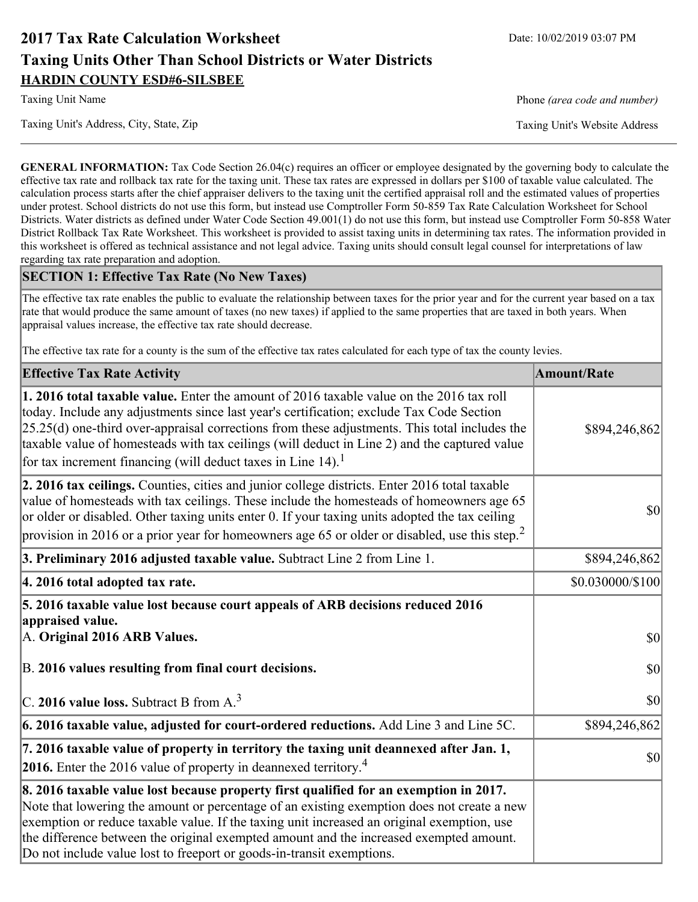# **2017 Tax Rate Calculation Worksheet** Date: 10/02/2019 03:07 PM **Taxing Units Other Than School Districts or Water Districts HARDIN COUNTY ESD#6-SILSBEE**

Taxing Unit Name **Phone** *(area code and number)* Phone *(area code and number)* 

Taxing Unit's Address, City, State, Zip Taxing Unit's Website Address

**GENERAL INFORMATION:** Tax Code Section 26.04(c) requires an officer or employee designated by the governing body to calculate the effective tax rate and rollback tax rate for the taxing unit. These tax rates are expressed in dollars per \$100 of taxable value calculated. The calculation process starts after the chief appraiser delivers to the taxing unit the certified appraisal roll and the estimated values of properties under protest. School districts do not use this form, but instead use Comptroller Form 50-859 Tax Rate Calculation Worksheet for School Districts. Water districts as defined under Water Code Section 49.001(1) do not use this form, but instead use Comptroller Form 50-858 Water District Rollback Tax Rate Worksheet. This worksheet is provided to assist taxing units in determining tax rates. The information provided in this worksheet is offered as technical assistance and not legal advice. Taxing units should consult legal counsel for interpretations of law regarding tax rate preparation and adoption.

### **SECTION 1: Effective Tax Rate (No New Taxes)**

The effective tax rate enables the public to evaluate the relationship between taxes for the prior year and for the current year based on a tax rate that would produce the same amount of taxes (no new taxes) if applied to the same properties that are taxed in both years. When appraisal values increase, the effective tax rate should decrease.

The effective tax rate for a county is the sum of the effective tax rates calculated for each type of tax the county levies.

| <b>Effective Tax Rate Activity</b>                                                                                                                                                                                                                                                                                                                                                                                                                      | <b>Amount/Rate</b> |
|---------------------------------------------------------------------------------------------------------------------------------------------------------------------------------------------------------------------------------------------------------------------------------------------------------------------------------------------------------------------------------------------------------------------------------------------------------|--------------------|
| 1. 2016 total taxable value. Enter the amount of 2016 taxable value on the 2016 tax roll<br>today. Include any adjustments since last year's certification; exclude Tax Code Section<br>$[25.25(d)$ one-third over-appraisal corrections from these adjustments. This total includes the<br>taxable value of homesteads with tax ceilings (will deduct in Line 2) and the captured value<br>for tax increment financing (will deduct taxes in Line 14). | \$894,246,862      |
| 2. 2016 tax ceilings. Counties, cities and junior college districts. Enter 2016 total taxable<br>value of homesteads with tax ceilings. These include the homesteads of homeowners age 65<br>or older or disabled. Other taxing units enter 0. If your taxing units adopted the tax ceiling<br>provision in 2016 or a prior year for homeowners age 65 or older or disabled, use this step. <sup>2</sup>                                                | \$0                |
| 3. Preliminary 2016 adjusted taxable value. Subtract Line 2 from Line 1.                                                                                                                                                                                                                                                                                                                                                                                | \$894,246,862      |
| 4. 2016 total adopted tax rate.                                                                                                                                                                                                                                                                                                                                                                                                                         | \$0.030000/\$100   |
| 5. 2016 taxable value lost because court appeals of ARB decisions reduced 2016<br>appraised value.<br>A. Original 2016 ARB Values.                                                                                                                                                                                                                                                                                                                      | 30                 |
| B. 2016 values resulting from final court decisions.                                                                                                                                                                                                                                                                                                                                                                                                    | 30                 |
| C. 2016 value loss. Subtract B from $A3$                                                                                                                                                                                                                                                                                                                                                                                                                | \$0                |
| 6. 2016 taxable value, adjusted for court-ordered reductions. Add Line 3 and Line 5C.                                                                                                                                                                                                                                                                                                                                                                   | \$894,246,862      |
| 7. 2016 taxable value of property in territory the taxing unit deannexed after Jan. 1,<br><b>2016.</b> Enter the 2016 value of property in deannexed territory. <sup>4</sup>                                                                                                                                                                                                                                                                            | $ 10\rangle$       |
| 8. 2016 taxable value lost because property first qualified for an exemption in 2017.<br>Note that lowering the amount or percentage of an existing exemption does not create a new<br>exemption or reduce taxable value. If the taxing unit increased an original exemption, use<br>the difference between the original exempted amount and the increased exempted amount.<br>Do not include value lost to freeport or goods-in-transit exemptions.    |                    |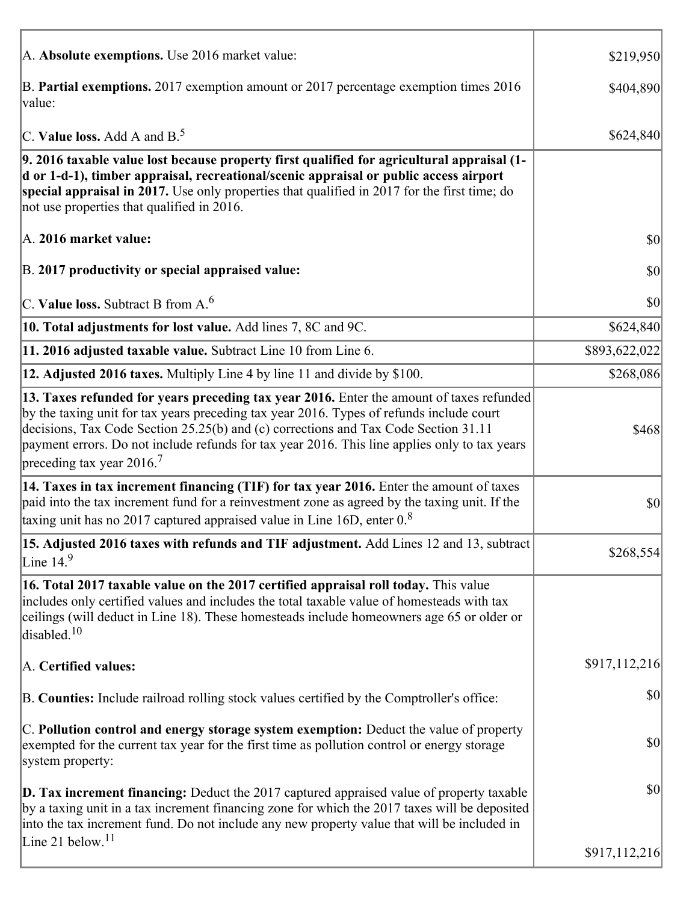| A. Absolute exemptions. Use 2016 market value:                                                                                                                                                                                                                                                                                                                                                                           | \$219,950     |
|--------------------------------------------------------------------------------------------------------------------------------------------------------------------------------------------------------------------------------------------------------------------------------------------------------------------------------------------------------------------------------------------------------------------------|---------------|
| B. Partial exemptions. 2017 exemption amount or 2017 percentage exemption times 2016<br>value:                                                                                                                                                                                                                                                                                                                           | \$404,890     |
| C. Value loss. Add A and $B^5$                                                                                                                                                                                                                                                                                                                                                                                           | \$624,840     |
| 9. 2016 taxable value lost because property first qualified for agricultural appraisal (1-<br>d or 1-d-1), timber appraisal, recreational/scenic appraisal or public access airport<br>special appraisal in 2017. Use only properties that qualified in 2017 for the first time; do<br>not use properties that qualified in 2016.                                                                                        |               |
| A. 2016 market value:                                                                                                                                                                                                                                                                                                                                                                                                    | \$0           |
| B. 2017 productivity or special appraised value:                                                                                                                                                                                                                                                                                                                                                                         | $ 10\rangle$  |
| C. Value loss. Subtract B from $A6$                                                                                                                                                                                                                                                                                                                                                                                      | $ 10\rangle$  |
| 10. Total adjustments for lost value. Add lines 7, 8C and 9C.                                                                                                                                                                                                                                                                                                                                                            | \$624,840     |
| 11. 2016 adjusted taxable value. Subtract Line 10 from Line 6.                                                                                                                                                                                                                                                                                                                                                           | \$893,622,022 |
| 12. Adjusted 2016 taxes. Multiply Line 4 by line 11 and divide by \$100.                                                                                                                                                                                                                                                                                                                                                 | \$268,086     |
| 13. Taxes refunded for years preceding tax year 2016. Enter the amount of taxes refunded<br>by the taxing unit for tax years preceding tax year 2016. Types of refunds include court<br>decisions, Tax Code Section 25.25(b) and (c) corrections and Tax Code Section 31.11<br>payment errors. Do not include refunds for tax year 2016. This line applies only to tax years<br>preceding tax year $2016$ . <sup>7</sup> | \$468         |
| 14. Taxes in tax increment financing (TIF) for tax year 2016. Enter the amount of taxes<br>paid into the tax increment fund for a reinvestment zone as agreed by the taxing unit. If the<br>taxing unit has no 2017 captured appraised value in Line 16D, enter $0.8$                                                                                                                                                    | \$0           |
| 15. Adjusted 2016 taxes with refunds and TIF adjustment. Add Lines 12 and 13, subtract<br>Line $149$                                                                                                                                                                                                                                                                                                                     | \$268,554     |
| 16. Total 2017 taxable value on the 2017 certified appraisal roll today. This value<br>includes only certified values and includes the total taxable value of homesteads with tax<br>ceilings (will deduct in Line 18). These homesteads include homeowners age 65 or older or<br>disabled. <sup>10</sup>                                                                                                                |               |
| A. Certified values:                                                                                                                                                                                                                                                                                                                                                                                                     | \$917,112,216 |
| B. Counties: Include railroad rolling stock values certified by the Comptroller's office:                                                                                                                                                                                                                                                                                                                                | \$0           |
| C. Pollution control and energy storage system exemption: Deduct the value of property<br>exempted for the current tax year for the first time as pollution control or energy storage<br>system property:                                                                                                                                                                                                                | \$0           |
| $\vert$ D. Tax increment financing: Deduct the 2017 captured appraised value of property taxable<br>by a taxing unit in a tax increment financing zone for which the 2017 taxes will be deposited<br>into the tax increment fund. Do not include any new property value that will be included in                                                                                                                         | \$0           |
| Line 21 below. <sup>11</sup>                                                                                                                                                                                                                                                                                                                                                                                             | \$917,112,216 |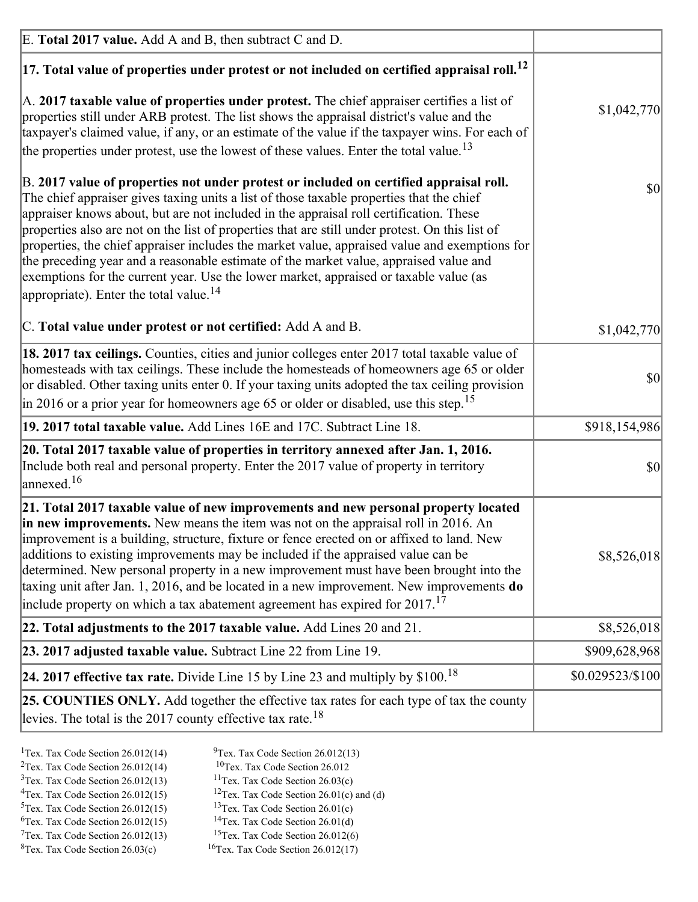| E. Total 2017 value. Add A and B, then subtract C and D.                                                                                                                                                                                                                                                                                                                                                                                                                                                                                                                                                                                                                                                                 |                  |
|--------------------------------------------------------------------------------------------------------------------------------------------------------------------------------------------------------------------------------------------------------------------------------------------------------------------------------------------------------------------------------------------------------------------------------------------------------------------------------------------------------------------------------------------------------------------------------------------------------------------------------------------------------------------------------------------------------------------------|------------------|
| $ 17$ . Total value of properties under protest or not included on certified appraisal roll. <sup>12</sup>                                                                                                                                                                                                                                                                                                                                                                                                                                                                                                                                                                                                               |                  |
| A. 2017 taxable value of properties under protest. The chief appraiser certifies a list of<br>properties still under ARB protest. The list shows the appraisal district's value and the<br>taxpayer's claimed value, if any, or an estimate of the value if the taxpayer wins. For each of<br>the properties under protest, use the lowest of these values. Enter the total value. <sup>13</sup>                                                                                                                                                                                                                                                                                                                         | \$1,042,770      |
| B. 2017 value of properties not under protest or included on certified appraisal roll.<br>The chief appraiser gives taxing units a list of those taxable properties that the chief<br>appraiser knows about, but are not included in the appraisal roll certification. These<br>properties also are not on the list of properties that are still under protest. On this list of<br>properties, the chief appraiser includes the market value, appraised value and exemptions for<br>the preceding year and a reasonable estimate of the market value, appraised value and<br>exemptions for the current year. Use the lower market, appraised or taxable value (as<br>appropriate). Enter the total value. <sup>14</sup> | \$0              |
| C. Total value under protest or not certified: Add A and B.                                                                                                                                                                                                                                                                                                                                                                                                                                                                                                                                                                                                                                                              | \$1,042,770      |
| 18. 2017 tax ceilings. Counties, cities and junior colleges enter 2017 total taxable value of<br>homesteads with tax ceilings. These include the homesteads of homeowners age 65 or older<br>or disabled. Other taxing units enter 0. If your taxing units adopted the tax ceiling provision<br>$\vert$ in 2016 or a prior year for homeowners age 65 or older or disabled, use this step. <sup>15</sup>                                                                                                                                                                                                                                                                                                                 | 30               |
| 19. 2017 total taxable value. Add Lines 16E and 17C. Subtract Line 18.                                                                                                                                                                                                                                                                                                                                                                                                                                                                                                                                                                                                                                                   | \$918,154,986    |
| 20. Total 2017 taxable value of properties in territory annexed after Jan. 1, 2016.<br>Include both real and personal property. Enter the 2017 value of property in territory<br>annexed. <sup>16</sup>                                                                                                                                                                                                                                                                                                                                                                                                                                                                                                                  | $ 10\rangle$     |
| 21. Total 2017 taxable value of new improvements and new personal property located<br>in new improvements. New means the item was not on the appraisal roll in 2016. An<br>improvement is a building, structure, fixture or fence erected on or affixed to land. New<br>additions to existing improvements may be included if the appraised value can be<br>determined. New personal property in a new improvement must have been brought into the<br>taxing unit after Jan. 1, 2016, and be located in a new improvement. New improvements do<br>include property on which a tax abatement agreement has expired for $2017$ . <sup>17</sup>                                                                             | \$8,526,018      |
| 22. Total adjustments to the 2017 taxable value. Add Lines 20 and 21.                                                                                                                                                                                                                                                                                                                                                                                                                                                                                                                                                                                                                                                    | \$8,526,018      |
| 23. 2017 adjusted taxable value. Subtract Line 22 from Line 19.                                                                                                                                                                                                                                                                                                                                                                                                                                                                                                                                                                                                                                                          | \$909,628,968    |
| 24. 2017 effective tax rate. Divide Line 15 by Line 23 and multiply by $$100$ . <sup>18</sup>                                                                                                                                                                                                                                                                                                                                                                                                                                                                                                                                                                                                                            | \$0.029523/\$100 |
| <b>25. COUNTIES ONLY.</b> Add together the effective tax rates for each type of tax the county<br>levies. The total is the 2017 county effective tax rate. <sup>18</sup>                                                                                                                                                                                                                                                                                                                                                                                                                                                                                                                                                 |                  |

- <sup>2</sup>Tex. Tax Code Section 26.012(14)
- <sup>1</sup>Tex. Tax Code Section 26.012(14) <sup>9</sup>Tex. Tax Code Section 26.012(13) <sup>9</sup>Tex. Tax Code Section 26.012
	-
- <sup>3</sup>Tex. Tax Code Section 26.012(13) <sup>11</sup>Tex. Tax Code Section 26.03(c) <sup>4</sup>Tex. Tax Code Section 26.01(c) and <sup>12</sup>Tex. Tax Code Section 26.01(c) and <sup>12</sup>Tex. Tax Code Section 26.01(c) and <sup>12</sup>Tex. Tax Code Section 26.01(c)
	- <sup>12</sup>Tex. Tax Code Section 26.01(c) and (d)
	-
- <sup>5</sup>Tex. Tax Code Section 26.012(15) <sup>13</sup>Tex. Tax Code Section 26.01(c) <sup>6</sup>Tex. Tax Code Section 26.01(d) <sup>6</sup>Tex. Tax Code Section 26.012(15) <sup>14</sup>Tex. Tax Code Section 26.01(d)<sup>7</sup>Tex. Tax Code Section 26.012(6)
- $7$ Tex. Tax Code Section 26.012(13)
- ${}^{8}$ Tex. Tax Code Section 26.03(c)  ${}^{16}$ Tex. Tax Code Section 26.012(17)
- -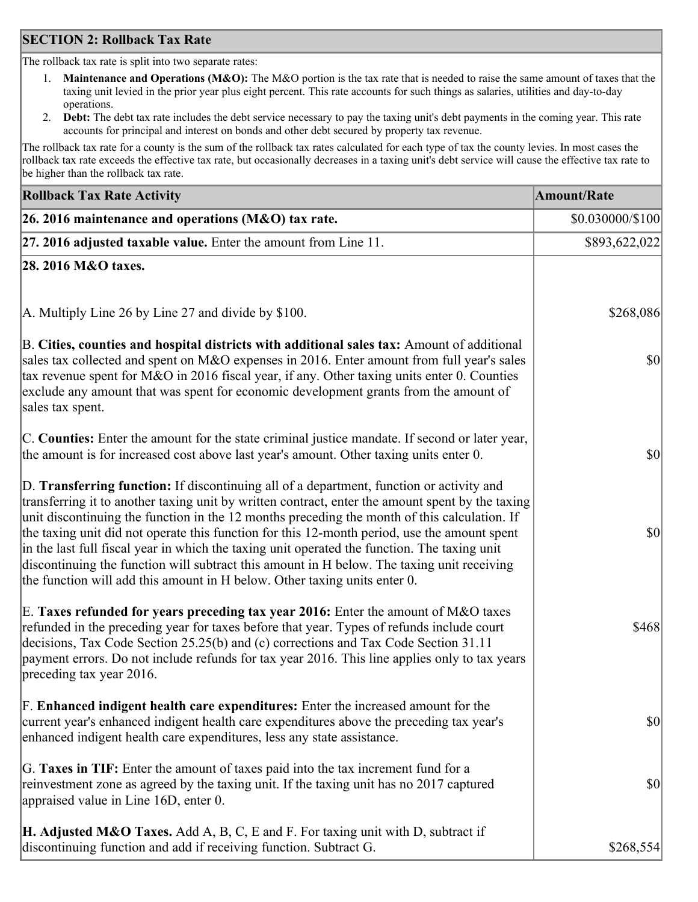## **SECTION 2: Rollback Tax Rate**

The rollback tax rate is split into two separate rates:

- 1. **Maintenance and Operations (M&O):** The M&O portion is the tax rate that is needed to raise the same amount of taxes that the taxing unit levied in the prior year plus eight percent. This rate accounts for such things as salaries, utilities and day-to-day operations.
- 2. **Debt:** The debt tax rate includes the debt service necessary to pay the taxing unit's debt payments in the coming year. This rate accounts for principal and interest on bonds and other debt secured by property tax revenue.

The rollback tax rate for a county is the sum of the rollback tax rates calculated for each type of tax the county levies. In most cases the rollback tax rate exceeds the effective tax rate, but occasionally decreases in a taxing unit's debt service will cause the effective tax rate to be higher than the rollback tax rate.

| <b>Rollback Tax Rate Activity</b>                                                                                                                                                                                                                                                                                                                                                                                                                                                                                                                                                                                                                                       | <b>Amount/Rate</b> |
|-------------------------------------------------------------------------------------------------------------------------------------------------------------------------------------------------------------------------------------------------------------------------------------------------------------------------------------------------------------------------------------------------------------------------------------------------------------------------------------------------------------------------------------------------------------------------------------------------------------------------------------------------------------------------|--------------------|
| 26. 2016 maintenance and operations (M&O) tax rate.                                                                                                                                                                                                                                                                                                                                                                                                                                                                                                                                                                                                                     | \$0.030000/\$100   |
| $ 27.2016$ adjusted taxable value. Enter the amount from Line 11.                                                                                                                                                                                                                                                                                                                                                                                                                                                                                                                                                                                                       | \$893,622,022      |
| 28. 2016 M&O taxes.                                                                                                                                                                                                                                                                                                                                                                                                                                                                                                                                                                                                                                                     |                    |
| A. Multiply Line 26 by Line 27 and divide by \$100.                                                                                                                                                                                                                                                                                                                                                                                                                                                                                                                                                                                                                     | \$268,086          |
| B. Cities, counties and hospital districts with additional sales tax: Amount of additional<br>sales tax collected and spent on M&O expenses in 2016. Enter amount from full year's sales<br>tax revenue spent for M&O in 2016 fiscal year, if any. Other taxing units enter 0. Counties<br>exclude any amount that was spent for economic development grants from the amount of<br>sales tax spent.                                                                                                                                                                                                                                                                     | \$0                |
| C. Counties: Enter the amount for the state criminal justice mandate. If second or later year,<br>the amount is for increased cost above last year's amount. Other taxing units enter 0.                                                                                                                                                                                                                                                                                                                                                                                                                                                                                | \$0                |
| D. Transferring function: If discontinuing all of a department, function or activity and<br>transferring it to another taxing unit by written contract, enter the amount spent by the taxing<br>unit discontinuing the function in the 12 months preceding the month of this calculation. If<br>the taxing unit did not operate this function for this 12-month period, use the amount spent<br>in the last full fiscal year in which the taxing unit operated the function. The taxing unit<br>discontinuing the function will subtract this amount in H below. The taxing unit receiving<br>the function will add this amount in H below. Other taxing units enter 0. | \$0                |
| E. Taxes refunded for years preceding tax year 2016: Enter the amount of M&O taxes<br>refunded in the preceding year for taxes before that year. Types of refunds include court<br>decisions, Tax Code Section 25.25(b) and (c) corrections and Tax Code Section 31.11<br>payment errors. Do not include refunds for tax year 2016. This line applies only to tax years<br>preceding tax year 2016.                                                                                                                                                                                                                                                                     | \$468              |
| F. Enhanced indigent health care expenditures: Enter the increased amount for the<br>current year's enhanced indigent health care expenditures above the preceding tax year's<br>enhanced indigent health care expenditures, less any state assistance.                                                                                                                                                                                                                                                                                                                                                                                                                 | $ 10\rangle$       |
| G. Taxes in TIF: Enter the amount of taxes paid into the tax increment fund for a<br>reinvestment zone as agreed by the taxing unit. If the taxing unit has no 2017 captured<br>appraised value in Line 16D, enter 0.                                                                                                                                                                                                                                                                                                                                                                                                                                                   | \$0                |
| <b>H. Adjusted M&amp;O Taxes.</b> Add A, B, C, E and F. For taxing unit with D, subtract if<br>discontinuing function and add if receiving function. Subtract G.                                                                                                                                                                                                                                                                                                                                                                                                                                                                                                        | \$268,554          |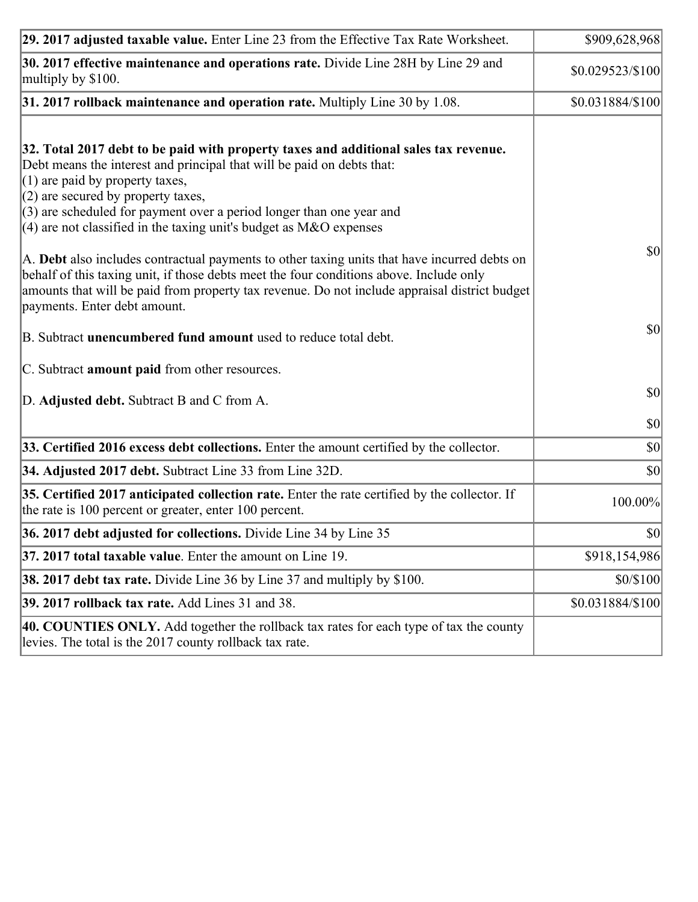| 29. 2017 adjusted taxable value. Enter Line 23 from the Effective Tax Rate Worksheet.                                                                                                                                                                                                                                                                                                                                                                                                                                                                                                                                                                                                                                     | \$909,628,968    |
|---------------------------------------------------------------------------------------------------------------------------------------------------------------------------------------------------------------------------------------------------------------------------------------------------------------------------------------------------------------------------------------------------------------------------------------------------------------------------------------------------------------------------------------------------------------------------------------------------------------------------------------------------------------------------------------------------------------------------|------------------|
| 30. 2017 effective maintenance and operations rate. Divide Line 28H by Line 29 and<br>multiply by \$100.                                                                                                                                                                                                                                                                                                                                                                                                                                                                                                                                                                                                                  | \$0.029523/\$100 |
| $31.2017$ rollback maintenance and operation rate. Multiply Line 30 by 1.08.                                                                                                                                                                                                                                                                                                                                                                                                                                                                                                                                                                                                                                              | \$0.031884/\$100 |
| 32. Total 2017 debt to be paid with property taxes and additional sales tax revenue.<br>Debt means the interest and principal that will be paid on debts that:<br>$(1)$ are paid by property taxes,<br>$(2)$ are secured by property taxes,<br>$(3)$ are scheduled for payment over a period longer than one year and<br>(4) are not classified in the taxing unit's budget as $M&O$ expenses<br>A. Debt also includes contractual payments to other taxing units that have incurred debts on<br>behalf of this taxing unit, if those debts meet the four conditions above. Include only<br>amounts that will be paid from property tax revenue. Do not include appraisal district budget<br>payments. Enter debt amount. | 30               |
| B. Subtract unencumbered fund amount used to reduce total debt.                                                                                                                                                                                                                                                                                                                                                                                                                                                                                                                                                                                                                                                           | \$0              |
| C. Subtract amount paid from other resources.                                                                                                                                                                                                                                                                                                                                                                                                                                                                                                                                                                                                                                                                             |                  |
| D. Adjusted debt. Subtract B and C from A.                                                                                                                                                                                                                                                                                                                                                                                                                                                                                                                                                                                                                                                                                | $ 10\rangle$     |
|                                                                                                                                                                                                                                                                                                                                                                                                                                                                                                                                                                                                                                                                                                                           | $ 10\rangle$     |
| 33. Certified 2016 excess debt collections. Enter the amount certified by the collector.                                                                                                                                                                                                                                                                                                                                                                                                                                                                                                                                                                                                                                  | $ 10\rangle$     |
| 34. Adjusted 2017 debt. Subtract Line 33 from Line 32D.                                                                                                                                                                                                                                                                                                                                                                                                                                                                                                                                                                                                                                                                   | $ 10\rangle$     |
| 35. Certified 2017 anticipated collection rate. Enter the rate certified by the collector. If<br>the rate is 100 percent or greater, enter 100 percent.                                                                                                                                                                                                                                                                                                                                                                                                                                                                                                                                                                   | 100.00%          |
| 36. 2017 debt adjusted for collections. Divide Line 34 by Line 35                                                                                                                                                                                                                                                                                                                                                                                                                                                                                                                                                                                                                                                         | \$0              |
| 37. 2017 total taxable value. Enter the amount on Line 19.                                                                                                                                                                                                                                                                                                                                                                                                                                                                                                                                                                                                                                                                | \$918,154,986    |
| <b>38. 2017 debt tax rate.</b> Divide Line 36 by Line 37 and multiply by \$100.                                                                                                                                                                                                                                                                                                                                                                                                                                                                                                                                                                                                                                           | \$0/\$100        |
| 39. 2017 rollback tax rate. Add Lines 31 and 38.                                                                                                                                                                                                                                                                                                                                                                                                                                                                                                                                                                                                                                                                          | \$0.031884/\$100 |
| 40. COUNTIES ONLY. Add together the rollback tax rates for each type of tax the county<br>levies. The total is the 2017 county rollback tax rate.                                                                                                                                                                                                                                                                                                                                                                                                                                                                                                                                                                         |                  |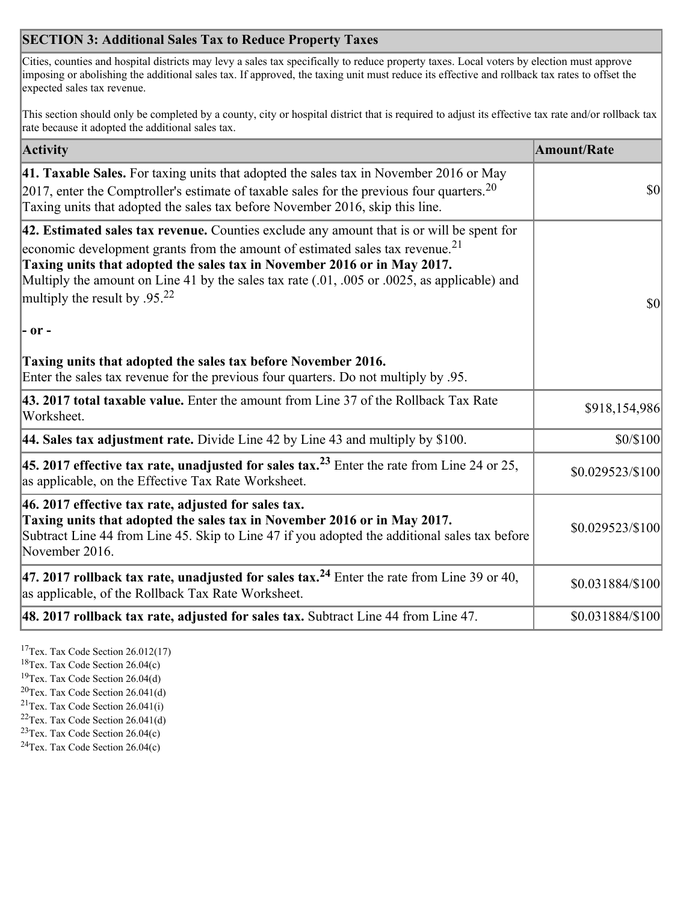## **SECTION 3: Additional Sales Tax to Reduce Property Taxes**

Cities, counties and hospital districts may levy a sales tax specifically to reduce property taxes. Local voters by election must approve imposing or abolishing the additional sales tax. If approved, the taxing unit must reduce its effective and rollback tax rates to offset the expected sales tax revenue.

This section should only be completed by a county, city or hospital district that is required to adjust its effective tax rate and/or rollback tax rate because it adopted the additional sales tax.

| <b>Activity</b>                                                                                                                                                                                                                                                                                                                                                                                                 | <b>Amount/Rate</b> |
|-----------------------------------------------------------------------------------------------------------------------------------------------------------------------------------------------------------------------------------------------------------------------------------------------------------------------------------------------------------------------------------------------------------------|--------------------|
| 41. Taxable Sales. For taxing units that adopted the sales tax in November 2016 or May<br>[2017, enter the Comptroller's estimate of taxable sales for the previous four quarters. <sup>20</sup><br>Taxing units that adopted the sales tax before November 2016, skip this line.                                                                                                                               | $\vert$ so $\vert$ |
| 42. Estimated sales tax revenue. Counties exclude any amount that is or will be spent for<br>economic development grants from the amount of estimated sales tax revenue. <sup>21</sup><br>Taxing units that adopted the sales tax in November 2016 or in May 2017.<br>Multiply the amount on Line 41 by the sales tax rate (.01, .005 or .0025, as applicable) and<br>multiply the result by .95. <sup>22</sup> | \$0                |
| $ -$ or $-$                                                                                                                                                                                                                                                                                                                                                                                                     |                    |
| Taxing units that adopted the sales tax before November 2016.<br>Enter the sales tax revenue for the previous four quarters. Do not multiply by .95.                                                                                                                                                                                                                                                            |                    |
| 43. 2017 total taxable value. Enter the amount from Line 37 of the Rollback Tax Rate<br>Worksheet.                                                                                                                                                                                                                                                                                                              | \$918,154,986      |
| 44. Sales tax adjustment rate. Divide Line 42 by Line 43 and multiply by $$100$ .                                                                                                                                                                                                                                                                                                                               | \$0/\$100          |
| 45. 2017 effective tax rate, unadjusted for sales tax. <sup>23</sup> Enter the rate from Line 24 or 25,<br>as applicable, on the Effective Tax Rate Worksheet.                                                                                                                                                                                                                                                  | \$0.029523/\$100   |
| 46. 2017 effective tax rate, adjusted for sales tax.<br>Taxing units that adopted the sales tax in November 2016 or in May 2017.<br>Subtract Line 44 from Line 45. Skip to Line 47 if you adopted the additional sales tax before<br>November 2016.                                                                                                                                                             | \$0.029523/\$100   |
| 47. 2017 rollback tax rate, unadjusted for sales tax. <sup>24</sup> Enter the rate from Line 39 or 40,<br>as applicable, of the Rollback Tax Rate Worksheet.                                                                                                                                                                                                                                                    | \$0.031884/\$100   |
| $ 48.2017$ rollback tax rate, adjusted for sales tax. Subtract Line 44 from Line 47.                                                                                                                                                                                                                                                                                                                            | \$0.031884/\$100   |

<sup>17</sup>Tex. Tax Code Section 26.012(17)

<sup>18</sup>Tex. Tax Code Section 26.04(c)

<sup>19</sup>Tex. Tax Code Section 26.04(d)

<sup>20</sup>Tex. Tax Code Section 26.041(d)

- $21$ Tex. Tax Code Section 26.041(i)
- <sup>22</sup>Tex. Tax Code Section 26.041(d)
- <sup>23</sup>Tex. Tax Code Section  $26.04(c)$

<sup>24</sup>Tex. Tax Code Section  $26.04(c)$